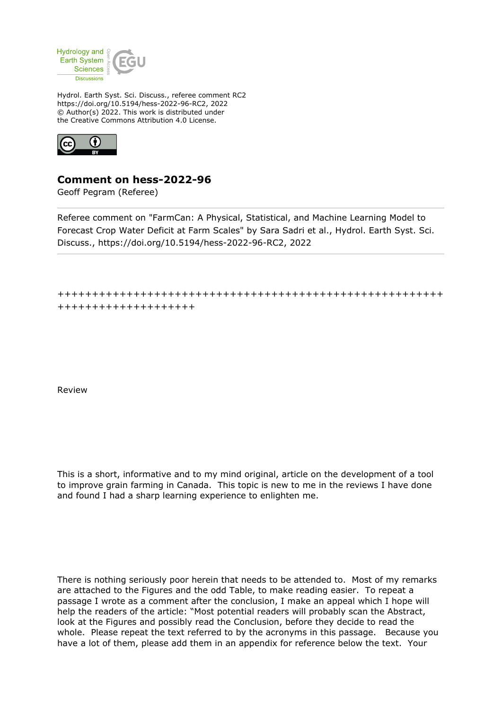

Hydrol. Earth Syst. Sci. Discuss., referee comment RC2 https://doi.org/10.5194/hess-2022-96-RC2, 2022 © Author(s) 2022. This work is distributed under the Creative Commons Attribution 4.0 License.



## **Comment on hess-2022-96**

Geoff Pegram (Referee)

Referee comment on "FarmCan: A Physical, Statistical, and Machine Learning Model to Forecast Crop Water Deficit at Farm Scales" by Sara Sadri et al., Hydrol. Earth Syst. Sci. Discuss., https://doi.org/10.5194/hess-2022-96-RC2, 2022

++++++++++++++++++++++++++++++++++++++++++++++++++++++++ ++++++++++++++++++++

Review

This is a short, informative and to my mind original, article on the development of a tool to improve grain farming in Canada. This topic is new to me in the reviews I have done and found I had a sharp learning experience to enlighten me.

There is nothing seriously poor herein that needs to be attended to. Most of my remarks are attached to the Figures and the odd Table, to make reading easier. To repeat a passage I wrote as a comment after the conclusion, I make an appeal which I hope will help the readers of the article: "Most potential readers will probably scan the Abstract, look at the Figures and possibly read the Conclusion, before they decide to read the whole. Please repeat the text referred to by the acronyms in this passage. Because you have a lot of them, please add them in an appendix for reference below the text. Your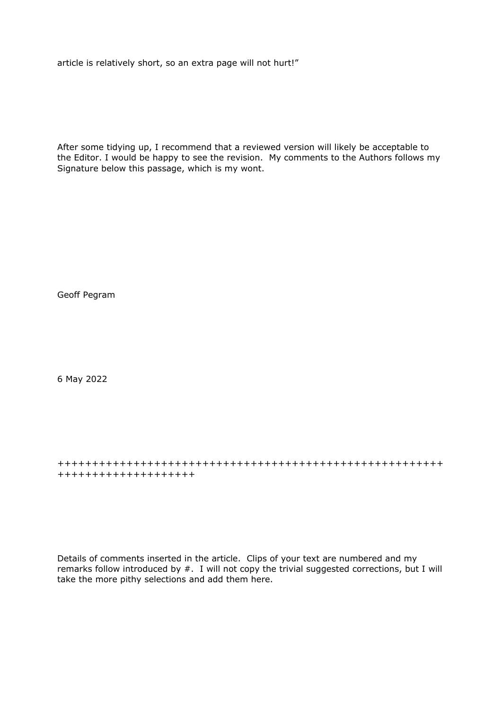article is relatively short, so an extra page will not hurt!"

After some tidying up, I recommend that a reviewed version will likely be acceptable to the Editor. I would be happy to see the revision. My comments to the Authors follows my Signature below this passage, which is my wont.

Geoff Pegram

6 May 2022

++++++++++++++++++++++++++++++++++++++++++++++++++++++++ ++++++++++++++++++++

Details of comments inserted in the article. Clips of your text are numbered and my remarks follow introduced by #. I will not copy the trivial suggested corrections, but I will take the more pithy selections and add them here.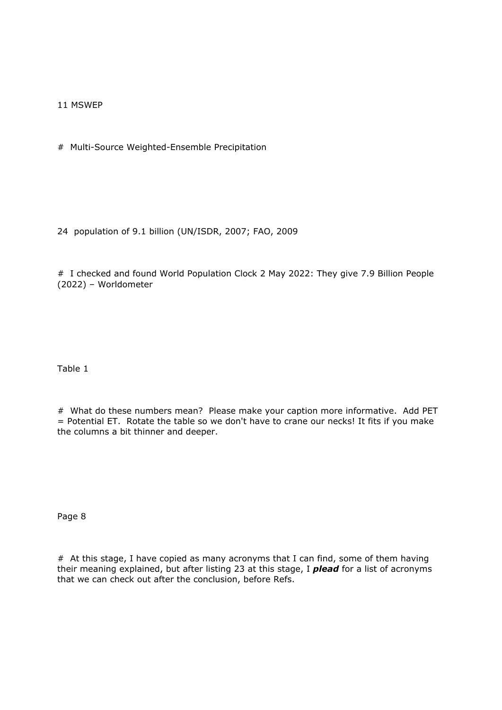11 MSWEP

# Multi-Source Weighted-Ensemble Precipitation

24 population of 9.1 billion (UN/ISDR, 2007; FAO, 2009

# I checked and found World Population Clock 2 May 2022: They give 7.9 Billion People (2022) – Worldometer

Table 1

# What do these numbers mean? Please make your caption more informative. Add PET = Potential ET. Rotate the table so we don't have to crane our necks! It fits if you make the columns a bit thinner and deeper.

Page 8

# At this stage, I have copied as many acronyms that I can find, some of them having their meaning explained, but after listing 23 at this stage, I *plead* for a list of acronyms that we can check out after the conclusion, before Refs.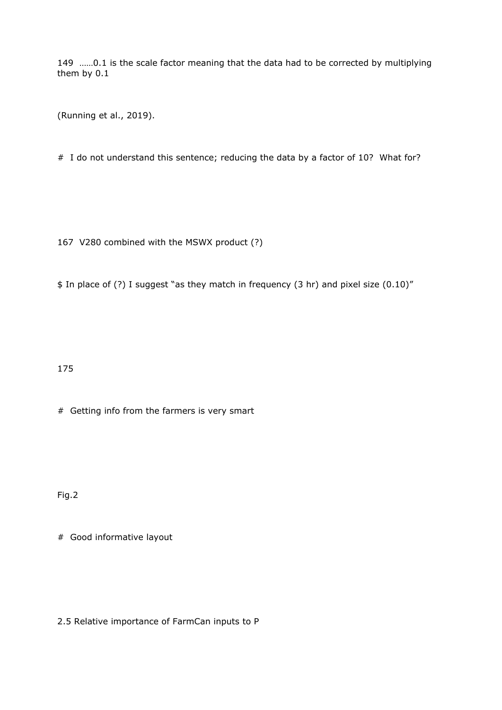149 ……0.1 is the scale factor meaning that the data had to be corrected by multiplying them by 0.1

(Running et al., 2019).

# I do not understand this sentence; reducing the data by a factor of 10? What for?

167 V280 combined with the MSWX product (?)

\$ In place of (?) I suggest "as they match in frequency (3 hr) and pixel size (0.10)"

175

# Getting info from the farmers is very smart

Fig.2

# Good informative layout

2.5 Relative importance of FarmCan inputs to P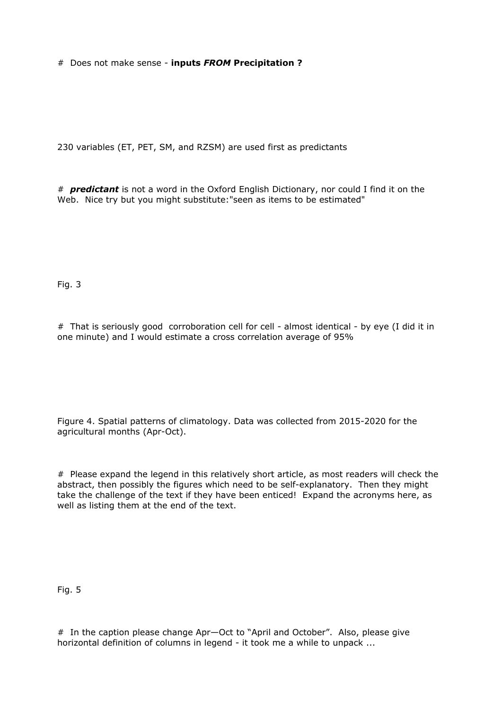# Does not make sense - **inputs** *FROM* **Precipitation ?** 

230 variables (ET, PET, SM, and RZSM) are used first as predictants

# *predictant* is not a word in the Oxford English Dictionary, nor could I find it on the Web. Nice try but you might substitute:"seen as items to be estimated"

Fig. 3

# That is seriously good corroboration cell for cell - almost identical - by eye (I did it in one minute) and I would estimate a cross correlation average of 95%

Figure 4. Spatial patterns of climatology. Data was collected from 2015-2020 for the agricultural months (Apr-Oct).

# Please expand the legend in this relatively short article, as most readers will check the abstract, then possibly the figures which need to be self-explanatory. Then they might take the challenge of the text if they have been enticed! Expand the acronyms here, as well as listing them at the end of the text.

Fig. 5

# In the caption please change Apr—Oct to "April and October". Also, please give horizontal definition of columns in legend - it took me a while to unpack ...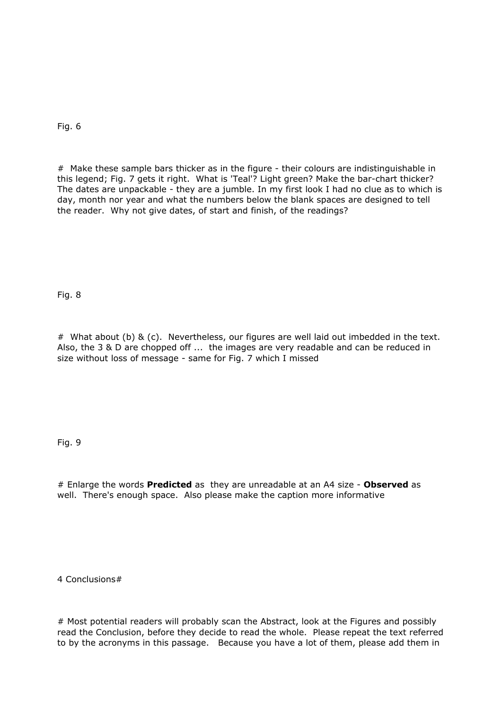Fig. 6

# Make these sample bars thicker as in the figure - their colours are indistinguishable in this legend; Fig. 7 gets it right. What is 'Teal'? Light green? Make the bar-chart thicker? The dates are unpackable - they are a jumble. In my first look I had no clue as to which is day, month nor year and what the numbers below the blank spaces are designed to tell the reader. Why not give dates, of start and finish, of the readings?

Fig. 8

# What about (b) & (c). Nevertheless, our figures are well laid out imbedded in the text. Also, the 3 & D are chopped off ... the images are very readable and can be reduced in size without loss of message - same for Fig. 7 which I missed

Fig. 9

# Enlarge the words **Predicted** as they are unreadable at an A4 size - **Observed** as well. There's enough space. Also please make the caption more informative

4 Conclusions#

# Most potential readers will probably scan the Abstract, look at the Figures and possibly read the Conclusion, before they decide to read the whole. Please repeat the text referred to by the acronyms in this passage. Because you have a lot of them, please add them in